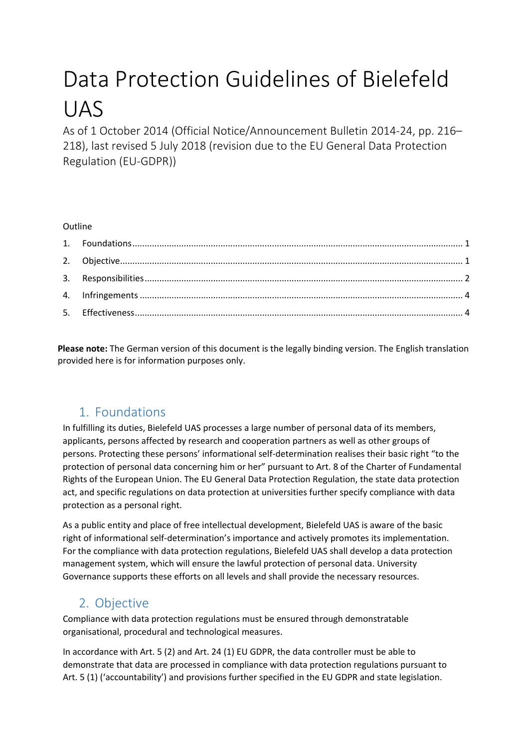# Data Protection Guidelines of Bielefeld UAS

As of 1 October 2014 (Official Notice/Announcement Bulletin 2014-24, pp. 216– 218), last revised 5 July 2018 (revision due to the EU General Data Protection Regulation (EU-GDPR))

#### **Outline**

**Please note:** The German version of this document is the legally binding version. The English translation provided here is for information purposes only.

# 1. Foundations

<span id="page-0-0"></span>In fulfilling its duties, Bielefeld UAS processes a large number of personal data of its members, applicants, persons affected by research and cooperation partners as well as other groups of persons. Protecting these persons' informational self-determination realises their basic right "to the protection of personal data concerning him or her" pursuant to Art. 8 of the Charter of Fundamental Rights of the European Union. The EU General Data Protection Regulation, the state data protection act, and specific regulations on data protection at universities further specify compliance with data protection as a personal right.

As a public entity and place of free intellectual development, Bielefeld UAS is aware of the basic right of informational self-determination's importance and actively promotes its implementation. For the compliance with data protection regulations, Bielefeld UAS shall develop a data protection management system, which will ensure the lawful protection of personal data. University Governance supports these efforts on all levels and shall provide the necessary resources.

# 2. Objective

<span id="page-0-1"></span>Compliance with data protection regulations must be ensured through demonstratable organisational, procedural and technological measures.

In accordance with Art. 5 (2) and Art. 24 (1) EU GDPR, the data controller must be able to demonstrate that data are processed in compliance with data protection regulations pursuant to Art. 5 (1) ('accountability') and provisions further specified in the EU GDPR and state legislation.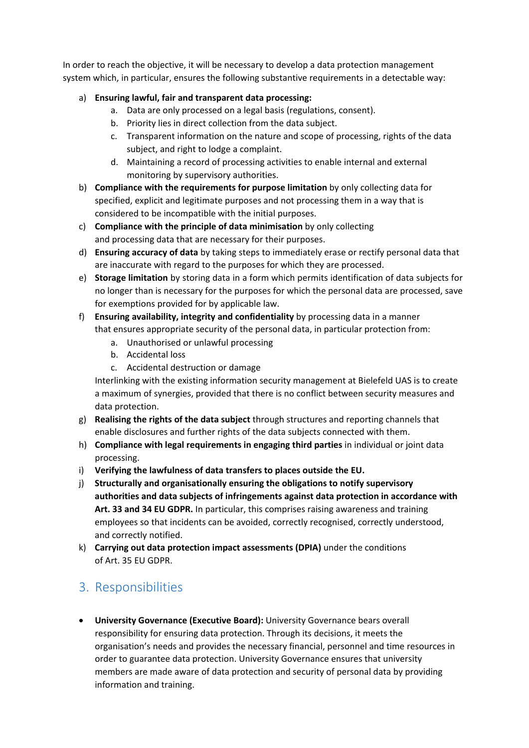In order to reach the objective, it will be necessary to develop a data protection management system which, in particular, ensures the following substantive requirements in a detectable way:

#### a) **Ensuring lawful, fair and transparent data processing:**

- a. Data are only processed on a legal basis (regulations, consent).
- b. Priority lies in direct collection from the data subject.
- c. Transparent information on the nature and scope of processing, rights of the data subject, and right to lodge a complaint.
- d. Maintaining a record of processing activities to enable internal and external monitoring by supervisory authorities.
- b) **Compliance with the requirements for purpose limitation** by only collecting data for specified, explicit and legitimate purposes and not processing them in a way that is considered to be incompatible with the initial purposes.
- c) **Compliance with the principle of data minimisation** by only collecting and processing data that are necessary for their purposes.
- d) **Ensuring accuracy of data** by taking steps to immediately erase or rectify personal data that are inaccurate with regard to the purposes for which they are processed.
- e) **Storage limitation** by storing data in a form which permits identification of data subjects for no longer than is necessary for the purposes for which the personal data are processed, save for exemptions provided for by applicable law.
- f) **Ensuring availability, integrity and confidentiality** by processing data in a manner that ensures appropriate security of the personal data, in particular protection from:
	- a. Unauthorised or unlawful processing
	- b. Accidental loss
	- c. Accidental destruction or damage

Interlinking with the existing information security management at Bielefeld UAS is to create a maximum of synergies, provided that there is no conflict between security measures and data protection.

- g) **Realising the rights of the data subject** through structures and reporting channels that enable disclosures and further rights of the data subjects connected with them.
- h) **Compliance with legal requirements in engaging third parties** in individual or joint data processing.
- i) **Verifying the lawfulness of data transfers to places outside the EU.**
- j) **Structurally and organisationally ensuring the obligations to notify supervisory authorities and data subjects of infringements against data protection in accordance with Art. 33 and 34 EU GDPR.** In particular, this comprises raising awareness and training employees so that incidents can be avoided, correctly recognised, correctly understood, and correctly notified.
- k) **Carrying out data protection impact assessments (DPIA)** under the conditions of Art. 35 EU GDPR.

# <span id="page-1-0"></span>3. Responsibilities

• **University Governance (Executive Board):** University Governance bears overall responsibility for ensuring data protection. Through its decisions, it meets the organisation's needs and provides the necessary financial, personnel and time resources in order to guarantee data protection. University Governance ensures that university members are made aware of data protection and security of personal data by providing information and training.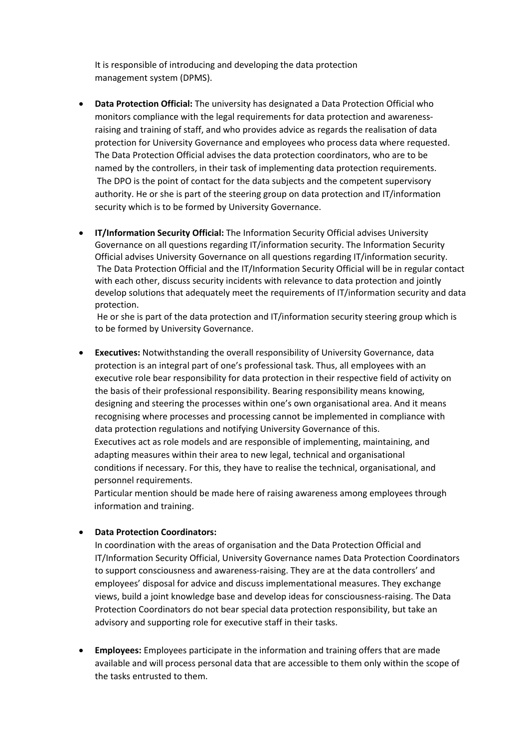It is responsible of introducing and developing the data protection management system (DPMS).

- **Data Protection Official:** The university has designated a Data Protection Official who monitors compliance with the legal requirements for data protection and awarenessraising and training of staff, and who provides advice as regards the realisation of data protection for University Governance and employees who process data where requested. The Data Protection Official advises the data protection coordinators, who are to be named by the controllers, in their task of implementing data protection requirements. The DPO is the point of contact for the data subjects and the competent supervisory authority. He or she is part of the steering group on data protection and IT/information security which is to be formed by University Governance.
- **IT/Information Security Official:** The Information Security Official advises University Governance on all questions regarding IT/information security. The Information Security Official advises University Governance on all questions regarding IT/information security. The Data Protection Official and the IT/Information Security Official will be in regular contact with each other, discuss security incidents with relevance to data protection and jointly develop solutions that adequately meet the requirements of IT/information security and data protection.

He or she is part of the data protection and IT/information security steering group which is to be formed by University Governance.

• **Executives:** Notwithstanding the overall responsibility of University Governance, data protection is an integral part of one's professional task. Thus, all employees with an executive role bear responsibility for data protection in their respective field of activity on the basis of their professional responsibility. Bearing responsibility means knowing, designing and steering the processes within one's own organisational area. And it means recognising where processes and processing cannot be implemented in compliance with data protection regulations and notifying University Governance of this. Executives act as role models and are responsible of implementing, maintaining, and adapting measures within their area to new legal, technical and organisational conditions if necessary. For this, they have to realise the technical, organisational, and personnel requirements.

Particular mention should be made here of raising awareness among employees through information and training.

#### • **Data Protection Coordinators:**

In coordination with the areas of organisation and the Data Protection Official and IT/Information Security Official, University Governance names Data Protection Coordinators to support consciousness and awareness-raising. They are at the data controllers' and employees' disposal for advice and discuss implementational measures. They exchange views, build a joint knowledge base and develop ideas for consciousness-raising. The Data Protection Coordinators do not bear special data protection responsibility, but take an advisory and supporting role for executive staff in their tasks.

• **Employees:** Employees participate in the information and training offers that are made available and will process personal data that are accessible to them only within the scope of the tasks entrusted to them.